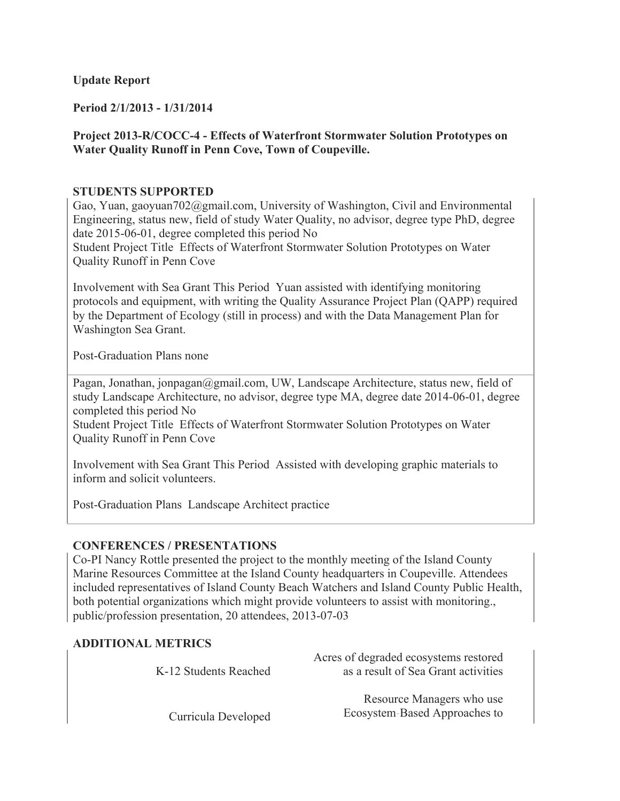## **Update Report**

## **Period 2/1/2013 - 1/31/2014**

## **Project 2013-R/COCC-4 - Effects of Waterfront Stormwater Solution Prototypes on Water Quality Runoff in Penn Cove, Town of Coupeville.**

#### **STUDENTS SUPPORTED**

Gao, Yuan, gaoyuan702@gmail.com, University of Washington, Civil and Environmental Engineering, status new, field of study Water Quality, no advisor, degree type PhD, degree date 2015-06-01, degree completed this period No

Student Project Title Effects of Waterfront Stormwater Solution Prototypes on Water Quality Runoff in Penn Cove

Involvement with Sea Grant This Period Yuan assisted with identifying monitoring protocols and equipment, with writing the Quality Assurance Project Plan (QAPP) required by the Department of Ecology (still in process) and with the Data Management Plan for Washington Sea Grant.

Post-Graduation Plans none

Pagan, Jonathan, jonpagan@gmail.com, UW, Landscape Architecture, status new, field of study Landscape Architecture, no advisor, degree type MA, degree date 2014-06-01, degree completed this period No

Student Project Title Effects of Waterfront Stormwater Solution Prototypes on Water Quality Runoff in Penn Cove

Involvement with Sea Grant This Period Assisted with developing graphic materials to inform and solicit volunteers.

Post-Graduation Plans Landscape Architect practice

#### **CONFERENCES / PRESENTATIONS**

Co-PI Nancy Rottle presented the project to the monthly meeting of the Island County Marine Resources Committee at the Island County headquarters in Coupeville. Attendees included representatives of Island County Beach Watchers and Island County Public Health, both potential organizations which might provide volunteers to assist with monitoring., public/profession presentation, 20 attendees, 2013-07-03

#### **ADDITIONAL METRICS**

| K-12 Students Reached | Acres of degraded ecosystems restored<br>as a result of Sea Grant activities |
|-----------------------|------------------------------------------------------------------------------|
| Curricula Developed   | Resource Managers who use<br>Ecosystem-Based Approaches to                   |

Curricula Developed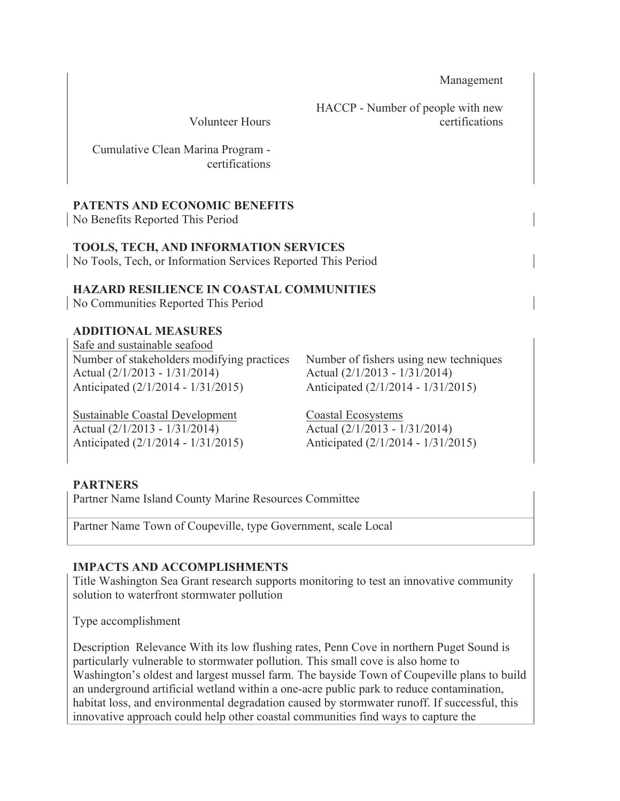Management

Volunteer Hours

HACCP - Number of people with new certifications

Cumulative Clean Marina Program certifications

## **PATENTS AND ECONOMIC BENEFITS**

No Benefits Reported This Period

# **TOOLS, TECH, AND INFORMATION SERVICES**

No Tools, Tech, or Information Services Reported This Period

## **HAZARD RESILIENCE IN COASTAL COMMUNITIES**

No Communities Reported This Period

## **ADDITIONAL MEASURES**

Safe and sustainable seafood Number of stakeholders modifying practices Number of fishers using new techniques Actual (2/1/2013 - 1/31/2014) Anticipated (2/1/2014 - 1/31/2015)

Sustainable Coastal Development Coastal Ecosystems Actual (2/1/2013 - 1/31/2014) Anticipated (2/1/2014 - 1/31/2015)

Actual (2/1/2013 - 1/31/2014) Anticipated (2/1/2014 - 1/31/2015)

Actual (2/1/2013 - 1/31/2014) Anticipated (2/1/2014 - 1/31/2015)

# **PARTNERS**

Partner Name Island County Marine Resources Committee

Partner Name Town of Coupeville, type Government, scale Local

# **IMPACTS AND ACCOMPLISHMENTS**

Title Washington Sea Grant research supports monitoring to test an innovative community solution to waterfront stormwater pollution

Type accomplishment

Description Relevance With its low flushing rates, Penn Cove in northern Puget Sound is particularly vulnerable to stormwater pollution. This small cove is also home to Washington's oldest and largest mussel farm. The bayside Town of Coupeville plans to build an underground artificial wetland within a one-acre public park to reduce contamination, habitat loss, and environmental degradation caused by stormwater runoff. If successful, this innovative approach could help other coastal communities find ways to capture the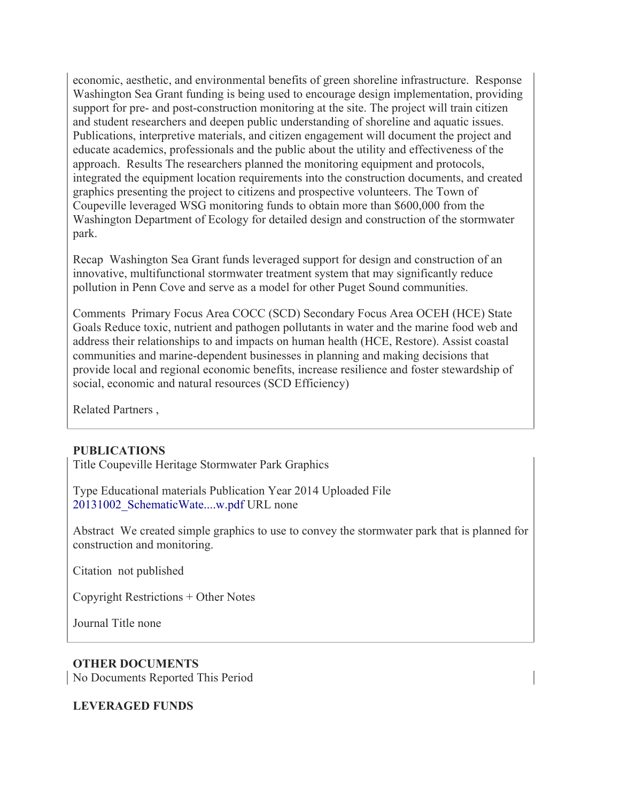economic, aesthetic, and environmental benefits of green shoreline infrastructure. Response Washington Sea Grant funding is being used to encourage design implementation, providing support for pre- and post-construction monitoring at the site. The project will train citizen and student researchers and deepen public understanding of shoreline and aquatic issues. Publications, interpretive materials, and citizen engagement will document the project and educate academics, professionals and the public about the utility and effectiveness of the approach. Results The researchers planned the monitoring equipment and protocols, integrated the equipment location requirements into the construction documents, and created graphics presenting the project to citizens and prospective volunteers. The Town of Coupeville leveraged WSG monitoring funds to obtain more than \$600,000 from the Washington Department of Ecology for detailed design and construction of the stormwater park.

Recap Washington Sea Grant funds leveraged support for design and construction of an innovative, multifunctional stormwater treatment system that may significantly reduce pollution in Penn Cove and serve as a model for other Puget Sound communities.

Comments Primary Focus Area COCC (SCD) Secondary Focus Area OCEH (HCE) State Goals Reduce toxic, nutrient and pathogen pollutants in water and the marine food web and address their relationships to and impacts on human health (HCE, Restore). Assist coastal communities and marine-dependent businesses in planning and making decisions that provide local and regional economic benefits, increase resilience and foster stewardship of social, economic and natural resources (SCD Efficiency)

Related Partners ,

#### **PUBLICATIONS**

Title Coupeville Heritage Stormwater Park Graphics

Type Educational materials Publication Year 2014 Uploaded File 20131002\_SchematicWate....w.pdf URL none

Abstract We created simple graphics to use to convey the stormwater park that is planned for construction and monitoring.

Citation not published

Copyright Restrictions + Other Notes

Journal Title none

#### **OTHER DOCUMENTS**

No Documents Reported This Period

#### **LEVERAGED FUNDS**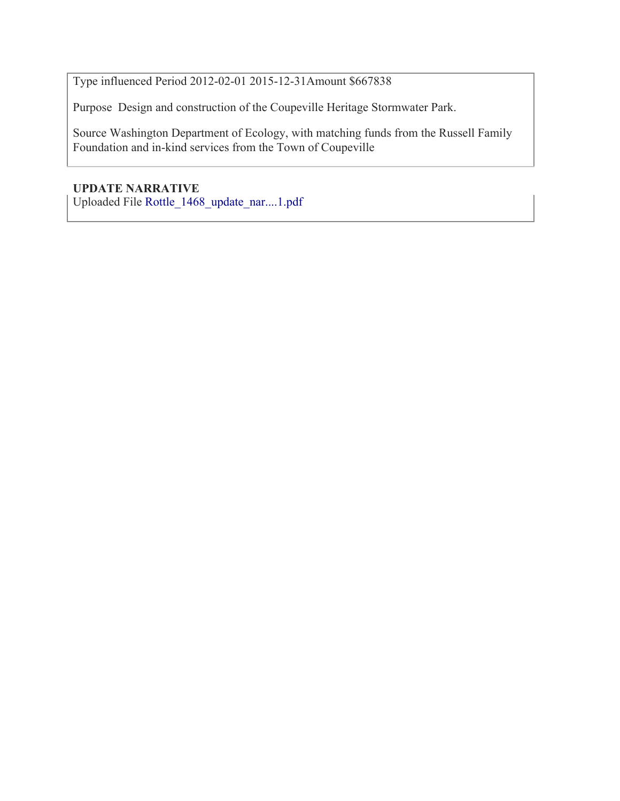Type influenced Period 2012-02-01 2015-12-31Amount \$667838

Purpose Design and construction of the Coupeville Heritage Stormwater Park.

Source Washington Department of Ecology, with matching funds from the Russell Family Foundation and in-kind services from the Town of Coupeville

## **UPDATE NARRATIVE**

Uploaded File Rottle\_1468\_update\_nar....1.pdf